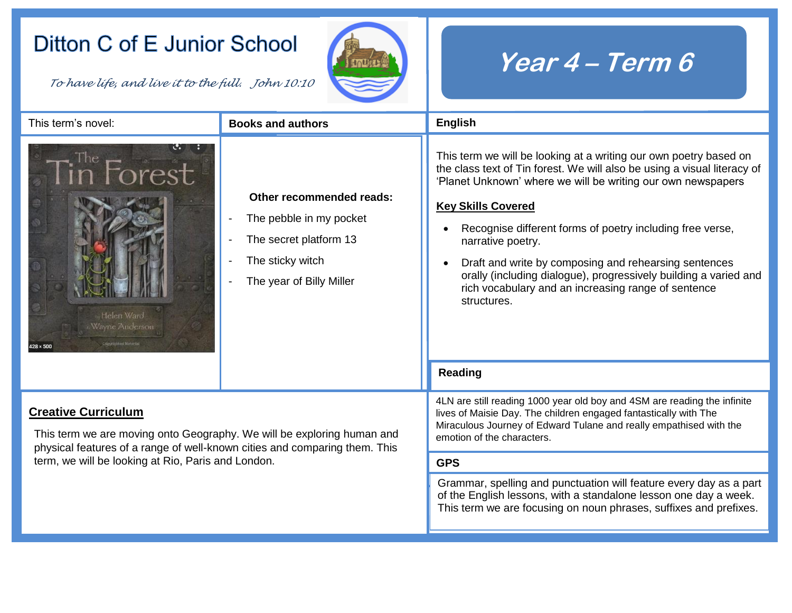## Ditton C of E Junior School

*To have life, and live it to the full. John 10:10* 



## **Year 4 – Term 6**

| This term's novel:                                                                                                                                                                                                                       | <b>Books and authors</b>                                                                                                      | English                                                                                                                                                                                                                                                                                                                                                                                                                                                                                                                         |  |
|------------------------------------------------------------------------------------------------------------------------------------------------------------------------------------------------------------------------------------------|-------------------------------------------------------------------------------------------------------------------------------|---------------------------------------------------------------------------------------------------------------------------------------------------------------------------------------------------------------------------------------------------------------------------------------------------------------------------------------------------------------------------------------------------------------------------------------------------------------------------------------------------------------------------------|--|
| Helen Ward<br>Wayne Anderson<br>$428 \times 500$                                                                                                                                                                                         | Other recommended reads:<br>The pebble in my pocket<br>The secret platform 13<br>The sticky witch<br>The year of Billy Miller | This term we will be looking at a writing our own poetry based on<br>the class text of Tin forest. We will also be using a visual literacy of<br>'Planet Unknown' where we will be writing our own newspapers<br><b>Key Skills Covered</b><br>Recognise different forms of poetry including free verse,<br>narrative poetry.<br>Draft and write by composing and rehearsing sentences<br>orally (including dialogue), progressively building a varied and<br>rich vocabulary and an increasing range of sentence<br>structures. |  |
|                                                                                                                                                                                                                                          |                                                                                                                               | Reading                                                                                                                                                                                                                                                                                                                                                                                                                                                                                                                         |  |
| <b>Creative Curriculum</b><br>This term we are moving onto Geography. We will be exploring human and<br>physical features of a range of well-known cities and comparing them. This<br>term, we will be looking at Rio, Paris and London. |                                                                                                                               | 4LN are still reading 1000 year old boy and 4SM are reading the infinite<br>lives of Maisie Day. The children engaged fantastically with The<br>Miraculous Journey of Edward Tulane and really empathised with the<br>emotion of the characters.                                                                                                                                                                                                                                                                                |  |
|                                                                                                                                                                                                                                          |                                                                                                                               | <b>GPS</b>                                                                                                                                                                                                                                                                                                                                                                                                                                                                                                                      |  |
|                                                                                                                                                                                                                                          |                                                                                                                               | Grammar, spelling and punctuation will feature every day as a part<br>of the English lessons, with a standalone lesson one day a week.<br>This term we are focusing on noun phrases, suffixes and prefixes.                                                                                                                                                                                                                                                                                                                     |  |